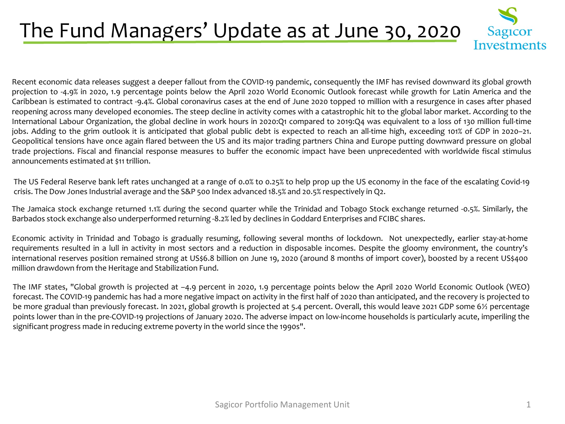## The Fund Managers' Update as at June 30, 2020



Recent economic data releases suggest a deeper fallout from the COVID-19 pandemic, consequently the IMF has revised downward its global growth projection to -4.9% in 2020, 1.9 percentage points below the April 2020 World Economic Outlook forecast while growth for Latin America and the Caribbean is estimated to contract -9.4%. Global coronavirus cases at the end of June 2020 topped 10 million with a resurgence in cases after phased reopening across many developed economies. The steep decline in activity comes with a catastrophic hit to the global labor market. According to the International Labour Organization, the global decline in work hours in 2020:Q1 compared to 2019:Q4 was equivalent to a loss of 130 million full-time jobs. Adding to the grim outlook it is anticipated that global public debt is expected to reach an all-time high, exceeding 101% of GDP in 2020–21. Geopolitical tensions have once again flared between the US and its major trading partners China and Europe putting downward pressure on global trade projections. Fiscal and financial response measures to buffer the economic impact have been unprecedented with worldwide fiscal stimulus announcements estimated at \$11 trillion.

The US Federal Reserve bank left rates unchanged at a range of 0.0% to 0.25% to help prop up the US economy in the face of the escalating Covid-19 crisis. The Dow Jones Industrial average and the S&P 500 Index advanced 18.5% and 20.5% respectively in Q2.

The Jamaica stock exchange returned 1.1% during the second quarter while the Trinidad and Tobago Stock exchange returned -0.5%. Similarly, the Barbados stock exchange also underperformed returning -8.2% led by declines in Goddard Enterprises and FCIBC shares.

Economic activity in Trinidad and Tobago is gradually resuming, following several months of lockdown. Not unexpectedly, earlier stay-at-home requirements resulted in a lull in activity in most sectors and a reduction in disposable incomes. Despite the gloomy environment, the country's international reserves position remained strong at US\$6.8 billion on June 19, 2020 (around 8 months of import cover), boosted by a recent US\$400 million drawdown from the Heritage and Stabilization Fund.

The IMF states, "Global growth is projected at –4.9 percent in 2020, 1.9 percentage points below the April 2020 World Economic Outlook (WEO) forecast. The COVID-19 pandemic has had a more negative impact on activity in the first half of 2020 than anticipated, and the recovery is projected to be more gradual than previously forecast. In 2021, global growth is projected at 5.4 percent. Overall, this would leave 2021 GDP some 6½ percentage points lower than in the pre-COVID-19 projections of January 2020. The adverse impact on low-income households is particularly acute, imperiling the significant progress made in reducing extreme poverty in the world since the 1990s".